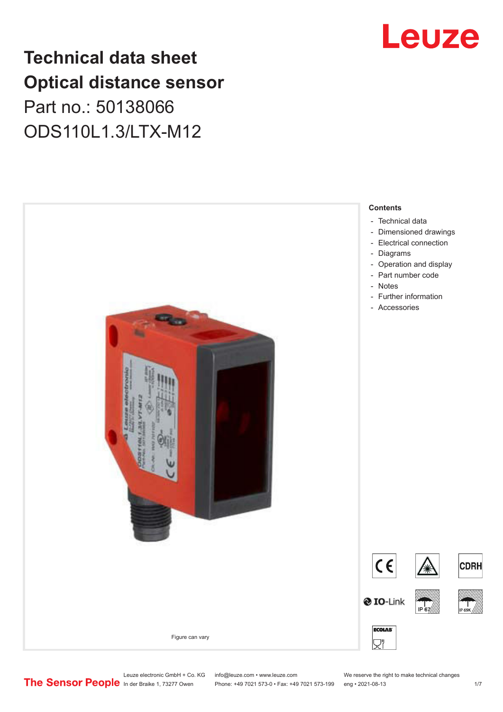## **Technical data sheet Optical distance sensor** Part no.: 50138066 ODS110L1.3/LTX-M12





Leuze electronic GmbH + Co. KG info@leuze.com • www.leuze.com We reserve the right to make technical changes<br>
The Sensor People in der Braike 1, 73277 Owen Phone: +49 7021 573-0 • Fax: +49 7021 573-199 eng • 2021-08-13

Phone: +49 7021 573-0 • Fax: +49 7021 573-199 eng • 2021-08-13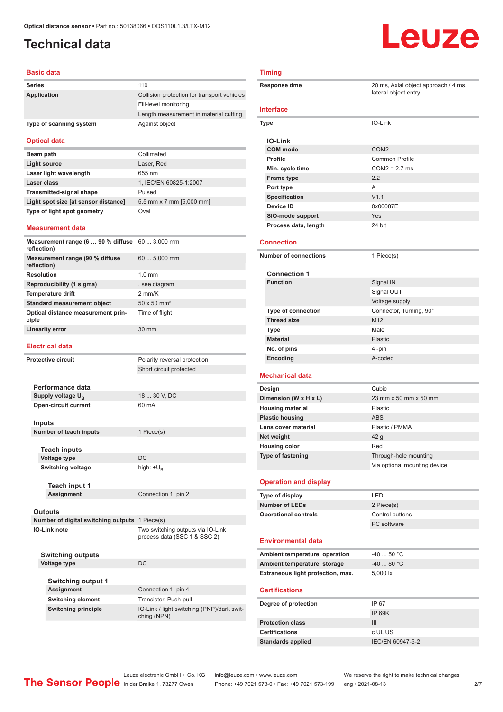## <span id="page-1-0"></span>**Technical data**

#### **Basic data**

| <b>Series</b>           | 110                                         |
|-------------------------|---------------------------------------------|
| Application             | Collision protection for transport vehicles |
|                         | Fill-level monitoring                       |
|                         | Length measurement in material cutting      |
| Type of scanning system | Against object                              |

#### **Optical data**

| Beam path                            | Collimated               |
|--------------------------------------|--------------------------|
| Light source                         | Laser, Red               |
| Laser light wavelength               | 655 nm                   |
| Laser class                          | 1, IEC/EN 60825-1:2007   |
| <b>Transmitted-signal shape</b>      | Pulsed                   |
| Light spot size [at sensor distance] | 5.5 mm x 7 mm [5,000 mm] |
| Type of light spot geometry          | Oval                     |

#### **Measurement data**

| Measurement range (6  90 % diffuse 60  3,000 mm<br>reflection) |                                |
|----------------------------------------------------------------|--------------------------------|
| Measurement range (90 % diffuse<br>reflection)                 | $605,000$ mm                   |
| <b>Resolution</b>                                              | $1.0 \text{ mm}$               |
| Reproducibility (1 sigma)                                      | , see diagram                  |
| <b>Temperature drift</b>                                       | $2$ mm/ $K$                    |
| <b>Standard measurement object</b>                             | $50 \times 50$ mm <sup>2</sup> |
| Optical distance measurement prin-<br>ciple                    | Time of flight                 |
| <b>Linearity error</b>                                         | 30 mm                          |

#### **Electrical data**

|                                                | Protective circuit            | Polarity reversal protection                                      |
|------------------------------------------------|-------------------------------|-------------------------------------------------------------------|
|                                                |                               | Short circuit protected                                           |
|                                                |                               |                                                                   |
|                                                | Performance data              |                                                                   |
|                                                | Supply voltage U <sub>R</sub> | 18  30 V, DC                                                      |
| Open-circuit current                           |                               | 60 mA                                                             |
|                                                | Inputs                        |                                                                   |
|                                                | Number of teach inputs        | 1 Piece(s)                                                        |
|                                                |                               |                                                                   |
|                                                | <b>Teach inputs</b>           |                                                                   |
|                                                | <b>Voltage type</b>           | DC                                                                |
| <b>Switching voltage</b>                       |                               | high: $+U_p$                                                      |
|                                                | <b>Teach input 1</b>          |                                                                   |
| <b>Assignment</b>                              |                               | Connection 1, pin 2                                               |
|                                                |                               |                                                                   |
|                                                | <b>Outputs</b>                |                                                                   |
| Number of digital switching outputs 1 Piece(s) |                               |                                                                   |
| IO-Link note                                   |                               | Two switching outputs via IO-Link<br>process data (SSC 1 & SSC 2) |
|                                                | Switching outputs             |                                                                   |

#### **Voltage type** DC **Switching output 1 Assignment**

| Connection 1, pin 4                                       |
|-----------------------------------------------------------|
| Transistor, Push-pull                                     |
| IO-Link / light switching (PNP)/dark swit-<br>ching (NPN) |
|                                                           |

# Leuze

#### **Timing**

| <b>Response time</b>                                                                                                                                                                                                                                                                                                                                                                                                                                                | 20 ms, Axial object approach / 4 ms,<br>lateral object entry |  |
|---------------------------------------------------------------------------------------------------------------------------------------------------------------------------------------------------------------------------------------------------------------------------------------------------------------------------------------------------------------------------------------------------------------------------------------------------------------------|--------------------------------------------------------------|--|
| Interface                                                                                                                                                                                                                                                                                                                                                                                                                                                           |                                                              |  |
| Type                                                                                                                                                                                                                                                                                                                                                                                                                                                                | IO-Link                                                      |  |
| <b>IO-Link</b>                                                                                                                                                                                                                                                                                                                                                                                                                                                      |                                                              |  |
| <b>COM</b> mode                                                                                                                                                                                                                                                                                                                                                                                                                                                     | COM <sub>2</sub>                                             |  |
| <b>Profile</b>                                                                                                                                                                                                                                                                                                                                                                                                                                                      | <b>Common Profile</b>                                        |  |
| Min. cycle time                                                                                                                                                                                                                                                                                                                                                                                                                                                     | $COM2 = 2.7$ ms                                              |  |
| <b>Frame type</b>                                                                                                                                                                                                                                                                                                                                                                                                                                                   | 2.2                                                          |  |
| Port type                                                                                                                                                                                                                                                                                                                                                                                                                                                           | A                                                            |  |
| Specification                                                                                                                                                                                                                                                                                                                                                                                                                                                       | V1.1                                                         |  |
| Device ID                                                                                                                                                                                                                                                                                                                                                                                                                                                           | 0x00087E                                                     |  |
| SIO-mode support                                                                                                                                                                                                                                                                                                                                                                                                                                                    | Yes                                                          |  |
| Process data, length                                                                                                                                                                                                                                                                                                                                                                                                                                                | 24 bit                                                       |  |
| <b>Connection</b>                                                                                                                                                                                                                                                                                                                                                                                                                                                   |                                                              |  |
| <b>Number of connections</b>                                                                                                                                                                                                                                                                                                                                                                                                                                        | 1 Piece(s)                                                   |  |
| <b>Connection 1</b>                                                                                                                                                                                                                                                                                                                                                                                                                                                 |                                                              |  |
| <b>Function</b>                                                                                                                                                                                                                                                                                                                                                                                                                                                     | Signal IN                                                    |  |
|                                                                                                                                                                                                                                                                                                                                                                                                                                                                     | Signal OUT                                                   |  |
|                                                                                                                                                                                                                                                                                                                                                                                                                                                                     | Voltage supply                                               |  |
| <b>Type of connection</b>                                                                                                                                                                                                                                                                                                                                                                                                                                           | Connector, Turning, 90°                                      |  |
| <b>Thread size</b>                                                                                                                                                                                                                                                                                                                                                                                                                                                  | M12                                                          |  |
| <b>Type</b>                                                                                                                                                                                                                                                                                                                                                                                                                                                         | Male                                                         |  |
| <b>Material</b>                                                                                                                                                                                                                                                                                                                                                                                                                                                     | <b>Plastic</b>                                               |  |
| No. of pins                                                                                                                                                                                                                                                                                                                                                                                                                                                         | 4-pin                                                        |  |
| Encoding                                                                                                                                                                                                                                                                                                                                                                                                                                                            | A-coded                                                      |  |
| Mechanical data                                                                                                                                                                                                                                                                                                                                                                                                                                                     |                                                              |  |
| Design                                                                                                                                                                                                                                                                                                                                                                                                                                                              | Cubic                                                        |  |
| Dimension (W x H x L)                                                                                                                                                                                                                                                                                                                                                                                                                                               | 23 mm x 50 mm x 50 mm                                        |  |
| <b>Housing material</b>                                                                                                                                                                                                                                                                                                                                                                                                                                             | Plastic                                                      |  |
|                                                                                                                                                                                                                                                                                                                                                                                                                                                                     |                                                              |  |
|                                                                                                                                                                                                                                                                                                                                                                                                                                                                     |                                                              |  |
|                                                                                                                                                                                                                                                                                                                                                                                                                                                                     | <b>ABS</b>                                                   |  |
|                                                                                                                                                                                                                                                                                                                                                                                                                                                                     | Plastic / PMMA                                               |  |
|                                                                                                                                                                                                                                                                                                                                                                                                                                                                     | 42 g                                                         |  |
|                                                                                                                                                                                                                                                                                                                                                                                                                                                                     | Red                                                          |  |
|                                                                                                                                                                                                                                                                                                                                                                                                                                                                     | Through-hole mounting                                        |  |
|                                                                                                                                                                                                                                                                                                                                                                                                                                                                     | Via optional mounting device                                 |  |
|                                                                                                                                                                                                                                                                                                                                                                                                                                                                     |                                                              |  |
|                                                                                                                                                                                                                                                                                                                                                                                                                                                                     | LED                                                          |  |
|                                                                                                                                                                                                                                                                                                                                                                                                                                                                     | 2 Piece(s)                                                   |  |
|                                                                                                                                                                                                                                                                                                                                                                                                                                                                     | Control buttons                                              |  |
|                                                                                                                                                                                                                                                                                                                                                                                                                                                                     | PC software                                                  |  |
|                                                                                                                                                                                                                                                                                                                                                                                                                                                                     |                                                              |  |
|                                                                                                                                                                                                                                                                                                                                                                                                                                                                     | $-4050 °C$                                                   |  |
|                                                                                                                                                                                                                                                                                                                                                                                                                                                                     | $-4080 °C$                                                   |  |
|                                                                                                                                                                                                                                                                                                                                                                                                                                                                     | 5,000 lx                                                     |  |
|                                                                                                                                                                                                                                                                                                                                                                                                                                                                     |                                                              |  |
|                                                                                                                                                                                                                                                                                                                                                                                                                                                                     | IP 67                                                        |  |
|                                                                                                                                                                                                                                                                                                                                                                                                                                                                     |                                                              |  |
|                                                                                                                                                                                                                                                                                                                                                                                                                                                                     | <b>IP 69K</b>                                                |  |
|                                                                                                                                                                                                                                                                                                                                                                                                                                                                     | III                                                          |  |
| <b>Plastic housing</b><br>Lens cover material<br>Net weight<br><b>Housing color</b><br><b>Type of fastening</b><br><b>Operation and display</b><br>Type of display<br><b>Number of LEDs</b><br><b>Operational controls</b><br><b>Environmental data</b><br>Ambient temperature, operation<br>Ambient temperature, storage<br>Extraneous light protection, max.<br><b>Certifications</b><br>Degree of protection<br><b>Protection class</b><br><b>Certifications</b> | c UL US                                                      |  |
| <b>Standards applied</b>                                                                                                                                                                                                                                                                                                                                                                                                                                            | IEC/EN 60947-5-2                                             |  |

Leuze electronic GmbH + Co. KG info@leuze.com • www.leuze.com We reserve the right to make technical changes<br>
The Sensor People in der Braike 1, 73277 Owen Phone: +49 7021 573-0 • Fax: +49 7021 573-199 eng • 2021-08-13 Phone: +49 7021 573-0 • Fax: +49 7021 573-199 eng • 2021-08-13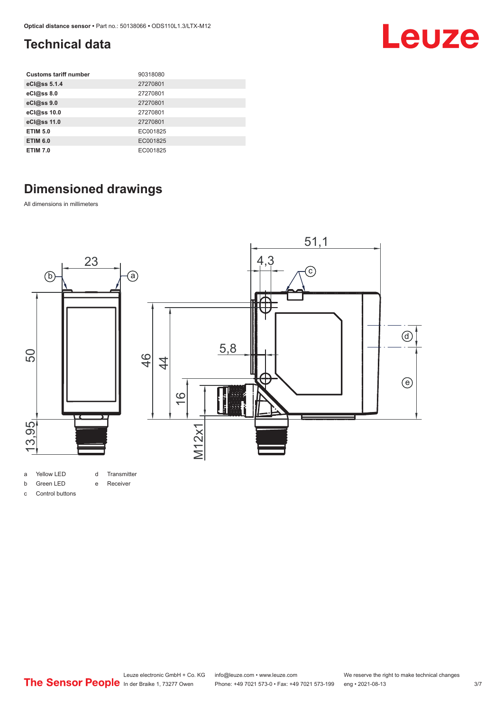# Leuze

## <span id="page-2-0"></span>**Technical data**

| <b>Customs tariff number</b> | 90318080 |
|------------------------------|----------|
| eCl@ss 5.1.4                 | 27270801 |
| eCl@ss 8.0                   | 27270801 |
| eCl@ss 9.0                   | 27270801 |
| eCl@ss 10.0                  | 27270801 |
| eCl@ss 11.0                  | 27270801 |
| <b>ETIM 5.0</b>              | EC001825 |
| <b>ETIM 6.0</b>              | EC001825 |
| <b>ETIM 7.0</b>              | EC001825 |

## **Dimensioned drawings**

All dimensions in millimeters



### e Receiver

b Green LED

c Control buttons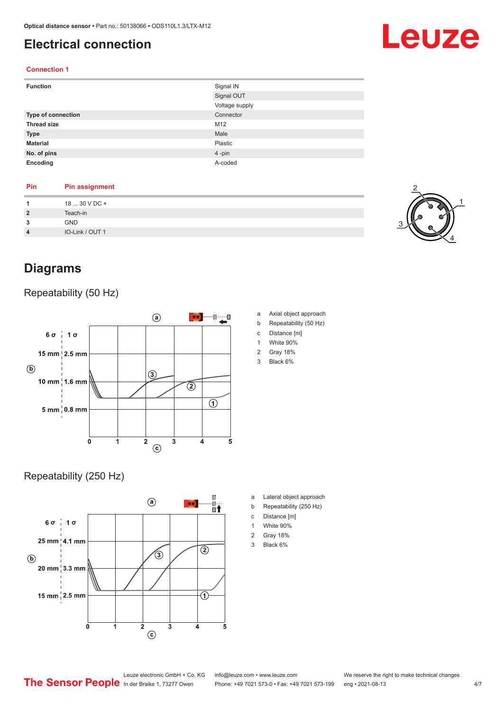## <span id="page-3-0"></span>**Electrical connection**

#### **Connection 1**

| <b>Function</b>           | Signal IN      |
|---------------------------|----------------|
|                           | Signal OUT     |
|                           | Voltage supply |
| <b>Type of connection</b> | Connector      |
| <b>Thread size</b>        | M12            |
| <b>Type</b>               | Male           |
| <b>Material</b>           | Plastic        |
| No. of pins               | 4-pin          |
| Encoding                  | A-coded        |

#### **Pin Pin assignment**

| 1              | 18  30 V DC +   |
|----------------|-----------------|
| $\overline{2}$ | Teach-in        |
| 3              | <b>GND</b>      |
| $\overline{4}$ | IO-Link / OUT 1 |
|                |                 |

## **Diagrams**

#### Repeatability (50 Hz)



#### Repeatability (250 Hz)



1 White 90%

a Axial object approach b Repeatability (50 Hz) c Distance [m]

- 2 Gray 18%
- 3 Black 6%

- a Lateral object approach
- b Repeatability (250 Hz)
- c Distance [m]
- 1 White 90%
- 2 Gray 18%
- 3 Black 6%



# Leuze

Leuze electronic GmbH + Co. KG info@leuze.com • www.leuze.com We reserve the right to make technical changes<br>
The Sensor People in der Braike 1, 73277 Owen Phone: +49 7021 573-0 • Fax: +49 7021 573-199 eng • 2021-08-13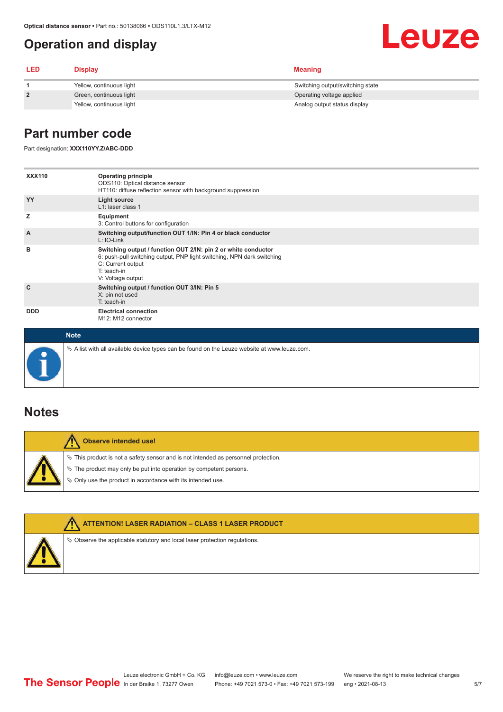## <span id="page-4-0"></span>**Operation and display**

#### **LED Display Meaning 1** Yellow, continuous light Switching output/switching state **2 2** Green, continuous light **Operation** Operating voltage applied Yellow, continuous light Analog output status display

## **Part number code**

Part designation: **XXX110YY.Z/ABC-DDD**

| <b>XXX110</b>  | <b>Operating principle</b><br>ODS110: Optical distance sensor<br>HT110: diffuse reflection sensor with background suppression                                                                       |
|----------------|-----------------------------------------------------------------------------------------------------------------------------------------------------------------------------------------------------|
| YY             | Light source<br>L1: laser class 1                                                                                                                                                                   |
| z              | Equipment<br>3: Control buttons for configuration                                                                                                                                                   |
| $\overline{A}$ | Switching output/function OUT 1/IN: Pin 4 or black conductor<br>L: IO-Link                                                                                                                          |
| в              | Switching output / function OUT 2/IN: pin 2 or white conductor<br>6: push-pull switching output, PNP light switching, NPN dark switching<br>C: Current output<br>$T:$ teach-in<br>V: Voltage output |
| C              | Switching output / function OUT 3/IN: Pin 5<br>X: pin not used<br>$T:$ teach-in                                                                                                                     |
| <b>DDD</b>     | <b>Electrical connection</b><br>M12: M12 connector                                                                                                                                                  |
| <b>Note</b>    |                                                                                                                                                                                                     |

 $\%$  A list with all available device types can be found on the Leuze website at www.leuze.com.

### **Notes**

| Observe intended use!                                                                                                                                                                                                      |  |
|----------------------------------------------------------------------------------------------------------------------------------------------------------------------------------------------------------------------------|--|
| $\%$ This product is not a safety sensor and is not intended as personnel protection.<br>§ The product may only be put into operation by competent persons.<br>♦ Only use the product in accordance with its intended use. |  |



**ATTENTION! LASER RADIATION – CLASS 1 LASER PRODUCT**

 $\%$  Observe the applicable statutory and local laser protection regulations.

Leuze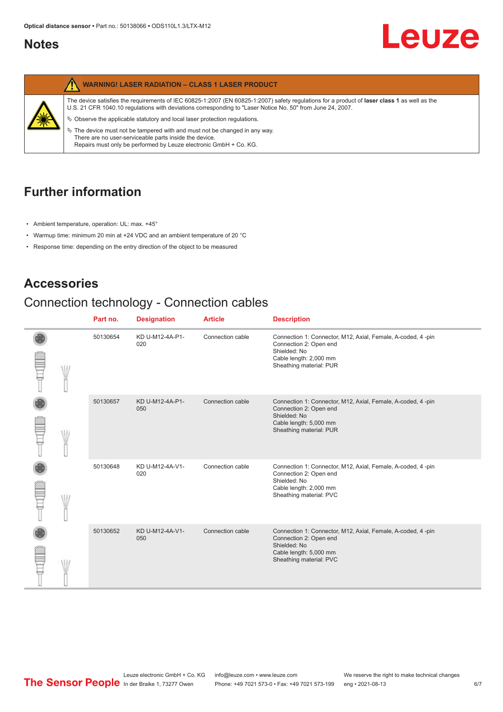### <span id="page-5-0"></span>**Notes**



## **Further information**

- Ambient temperature, operation: UL: max. +45°
- Warmup time: minimum 20 min at +24 VDC and an ambient temperature of 20 °C
- Response time: depending on the entry direction of the object to be measured

## **Accessories**

## Connection technology - Connection cables

|  | Part no. | <b>Designation</b>     | <b>Article</b>   | <b>Description</b>                                                                                                                                         |
|--|----------|------------------------|------------------|------------------------------------------------------------------------------------------------------------------------------------------------------------|
|  | 50130654 | KD U-M12-4A-P1-<br>020 | Connection cable | Connection 1: Connector, M12, Axial, Female, A-coded, 4-pin<br>Connection 2: Open end<br>Shielded: No<br>Cable length: 2,000 mm<br>Sheathing material: PUR |
|  | 50130657 | KD U-M12-4A-P1-<br>050 | Connection cable | Connection 1: Connector, M12, Axial, Female, A-coded, 4-pin<br>Connection 2: Open end<br>Shielded: No<br>Cable length: 5,000 mm<br>Sheathing material: PUR |
|  | 50130648 | KD U-M12-4A-V1-<br>020 | Connection cable | Connection 1: Connector, M12, Axial, Female, A-coded, 4-pin<br>Connection 2: Open end<br>Shielded: No<br>Cable length: 2,000 mm<br>Sheathing material: PVC |
|  | 50130652 | KD U-M12-4A-V1-<br>050 | Connection cable | Connection 1: Connector, M12, Axial, Female, A-coded, 4-pin<br>Connection 2: Open end<br>Shielded: No<br>Cable length: 5,000 mm<br>Sheathing material: PVC |

Leuze